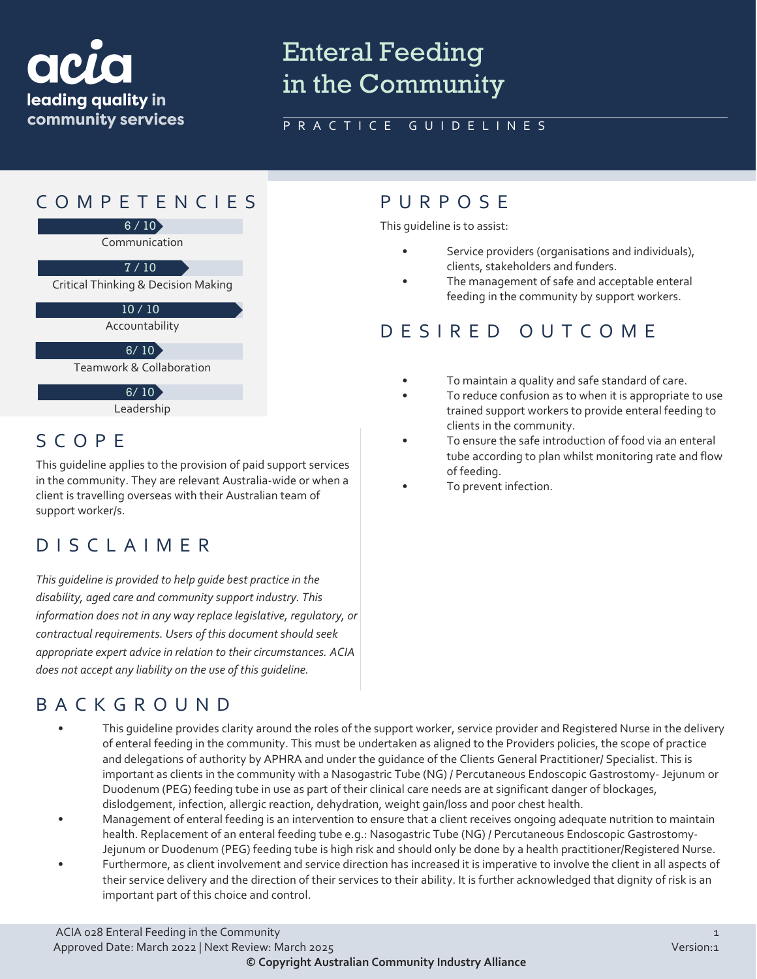

# Enteral Feeding in the Community

#### PRACTICE GUIDELINES

### COMPETENCIES PURPOS E



Accountability

 $6/10$ 

Teamwork & Collaboration

 $6/10$ 

Leadership

## SCOPE

This guideline applies to the provision of paid support services in the community. They are relevant Australia-wide or when a client is travelling overseas with their Australian team of support worker/s.

## DISCLAIMER

*This guideline is provided to help guide best practice in the disability, aged care and community support industry. This information does not in any way replace legislative, regulatory, or contractual requirements. Users of this document should seek appropriate expert advice in relation to their circumstances. ACIA does not accept any liability on the use of this guideline.*

## BACKGROUND

- This guideline provides clarity around the roles of the support worker, service provider and Registered Nurse in the delivery of enteral feeding in the community. This must be undertaken as aligned to the Providers policies, the scope of practice and delegations of authority by APHRA and under the guidance of the Clients General Practitioner/ Specialist. This is important as clients in the community with a Nasogastric Tube (NG) / Percutaneous Endoscopic Gastrostomy- Jejunum or Duodenum (PEG) feeding tube in use as part of their clinical care needs are at significant danger of blockages, dislodgement, infection, allergic reaction, dehydration, weight gain/loss and poor chest health.
- Management of enteral feeding is an intervention to ensure that a client receives ongoing adequate nutrition to maintain health. Replacement of an enteral feeding tube e.g.: Nasogastric Tube (NG) / Percutaneous Endoscopic Gastrostomy-Jejunum or Duodenum (PEG) feeding tube is high risk and should only be done by a health practitioner/Registered Nurse.
- Furthermore, as client involvement and service direction has increased it is imperative to involve the client in all aspects of their service delivery and the direction of their services to their ability. It is further acknowledged that dignity of risk is an important part of this choice and control.

This guideline is to assist:

- Service providers (organisations and individuals), clients, stakeholders and funders.
- The management of safe and acceptable enteral feeding in the community by support workers.

## DESIRED OUTCOME

- To maintain a quality and safe standard of care.
- To reduce confusion as to when it is appropriate to use trained support workers to provide enteral feeding to clients in the community.
- To ensure the safe introduction of food via an enteral tube according to plan whilst monitoring rate and flow of feeding.
- To prevent infection.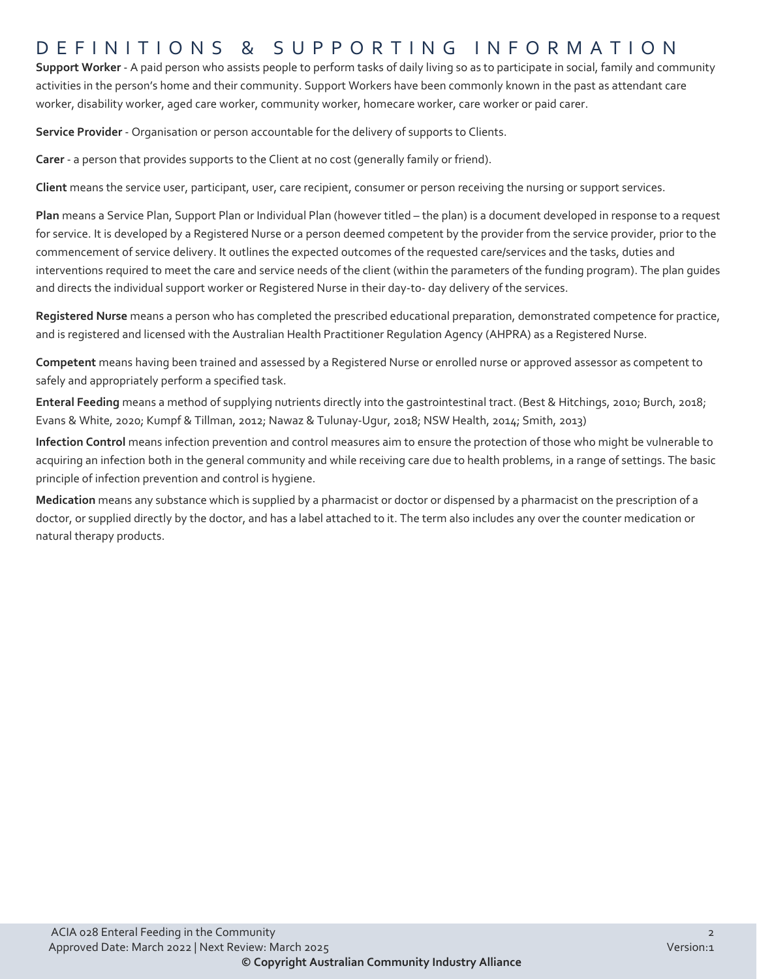#### DEFINITIONS & SUPPORTING INFORMATIO N

**Support Worker** - A paid person who assists people to perform tasks of daily living so as to participate in social, family and community activities in the person's home and their community. Support Workers have been commonly known in the past as attendant care worker, disability worker, aged care worker, community worker, homecare worker, care worker or paid carer.

**Service Provider** - Organisation or person accountable for the delivery of supports to Clients.

**Carer** - a person that provides supports to the Client at no cost (generally family or friend).

**Client** means the service user, participant, user, care recipient, consumer or person receiving the nursing or support services.

**Plan** means a Service Plan, Support Plan or Individual Plan (however titled – the plan) is a document developed in response to a request for service. It is developed by a Registered Nurse or a person deemed competent by the provider from the service provider, prior to the commencement of service delivery. It outlines the expected outcomes of the requested care/services and the tasks, duties and interventions required to meet the care and service needs of the client (within the parameters of the funding program). The plan guides and directs the individual support worker or Registered Nurse in their day-to- day delivery of the services.

**Registered Nurse** means a person who has completed the prescribed educational preparation, demonstrated competence for practice, and is registered and licensed with the Australian Health Practitioner Regulation Agency (AHPRA) as a Registered Nurse.

**Competent** means having been trained and assessed by a Registered Nurse or enrolled nurse or approved assessor as competent to safely and appropriately perform a specified task.

**Enteral Feeding** means a method of supplying nutrients directly into the gastrointestinal tract. (Best & Hitchings, 2010; Burch, 2018; Evans & White, 2020; Kumpf & Tillman, 2012; Nawaz & Tulunay-Ugur, 2018; NSW Health, 2014; Smith, 2013)

**Infection Control** means infection prevention and control measures aim to ensure the protection of those who might be vulnerable to acquiring an infection both in the general community and while receiving care due to health problems, in a range of settings. The basic principle of infection prevention and control is hygiene.

**Medication** means any substance which is supplied by a pharmacist or doctor or dispensed by a pharmacist on the prescription of a doctor, or supplied directly by the doctor, and has a label attached to it. The term also includes any over the counter medication or natural therapy products.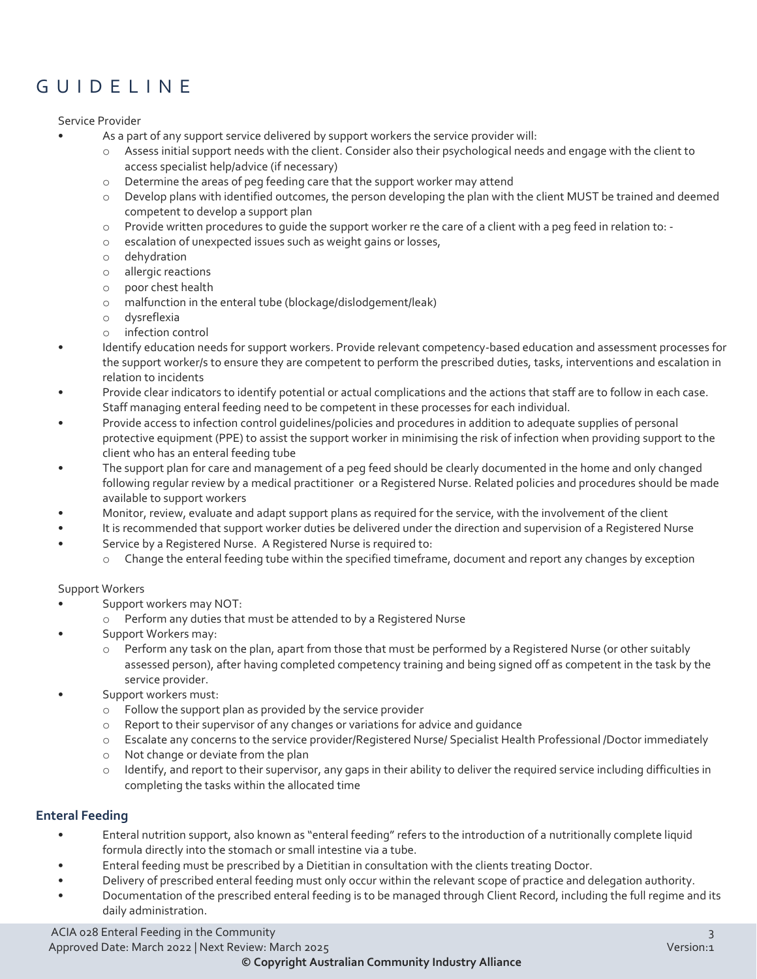## GUIDELINE

Service Provider

- As a part of any support service delivered by support workers the service provider will:
	- o Assess initial support needs with the client. Consider also their psychological needs and engage with the client to access specialist help/advice (if necessary)
	- o Determine the areas of peg feeding care that the support worker may attend
	- o Develop plans with identified outcomes, the person developing the plan with the client MUST be trained and deemed competent to develop a support plan
	- o Provide written procedures to guide the support worker re the care of a client with a peg feed in relation to: -
	- o escalation of unexpected issues such as weight gains or losses,
	- o dehydration
	- o allergic reactions
	- o poor chest health
	- o malfunction in the enteral tube (blockage/dislodgement/leak)
	- o dysreflexia
	- o infection control
- Identify education needs for support workers. Provide relevant competency-based education and assessment processes for the support worker/s to ensure they are competent to perform the prescribed duties, tasks, interventions and escalation in relation to incidents
- Provide clear indicators to identify potential or actual complications and the actions that staff are to follow in each case. Staff managing enteral feeding need to be competent in these processes for each individual.
- Provide access to infection control guidelines/policies and procedures in addition to adequate supplies of personal protective equipment (PPE) to assist the support worker in minimising the risk of infection when providing support to the client who has an enteral feeding tube
- The support plan for care and management of a peg feed should be clearly documented in the home and only changed following regular review by a medical practitioner or a Registered Nurse. Related policies and procedures should be made available to support workers
- Monitor, review, evaluate and adapt support plans as required for the service, with the involvement of the client
- It is recommended that support worker duties be delivered under the direction and supervision of a Registered Nurse
- Service by a Registered Nurse. A Registered Nurse is required to:
	- o Change the enteral feeding tube within the specified timeframe, document and report any changes by exception

#### Support Workers

- Support workers may NOT:
	- o Perform any duties that must be attended to by a Registered Nurse
- Support Workers may:
	- o Perform any task on the plan, apart from those that must be performed by a Registered Nurse (or other suitably assessed person), after having completed competency training and being signed off as competent in the task by the service provider.
- Support workers must:
	- o Follow the support plan as provided by the service provider
	- o Report to their supervisor of any changes or variations for advice and guidance
	- o Escalate any concerns to the service provider/Registered Nurse/ Specialist Health Professional /Doctor immediately
	- o Not change or deviate from the plan
	- o Identify, and report to their supervisor, any gaps in their ability to deliver the required service including difficulties in completing the tasks within the allocated time

#### **Enteral Feeding**

- Enteral nutrition support, also known as "enteral feeding" refers to the introduction of a nutritionally complete liquid formula directly into the stomach or small intestine via a tube.
- Enteral feeding must be prescribed by a Dietitian in consultation with the clients treating Doctor.
- Delivery of prescribed enteral feeding must only occur within the relevant scope of practice and delegation authority.
- Documentation of the prescribed enteral feeding is to be managed through Client Record, including the full regime and its daily administration.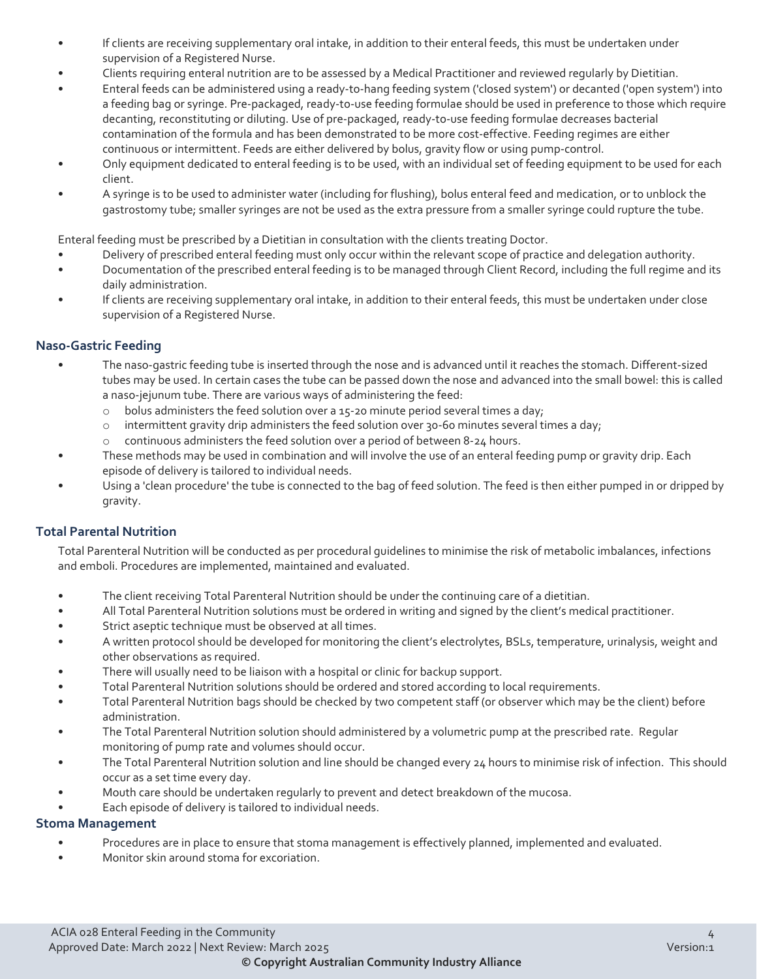- If clients are receiving supplementary oral intake, in addition to their enteral feeds, this must be undertaken under supervision of a Registered Nurse.
- Clients requiring enteral nutrition are to be assessed by a Medical Practitioner and reviewed regularly by Dietitian.
- Enteral feeds can be administered using a ready-to-hang feeding system ('closed system') or decanted ('open system') into a feeding bag or syringe. Pre-packaged, ready-to-use feeding formulae should be used in preference to those which require decanting, reconstituting or diluting. Use of pre-packaged, ready-to-use feeding formulae decreases bacterial contamination of the formula and has been demonstrated to be more cost-effective. Feeding regimes are either continuous or intermittent. Feeds are either delivered by bolus, gravity flow or using pump-control.
- Only equipment dedicated to enteral feeding is to be used, with an individual set of feeding equipment to be used for each client.
- A syringe is to be used to administer water (including for flushing), bolus enteral feed and medication, or to unblock the gastrostomy tube; smaller syringes are not be used as the extra pressure from a smaller syringe could rupture the tube.

Enteral feeding must be prescribed by a Dietitian in consultation with the clients treating Doctor.

- Delivery of prescribed enteral feeding must only occur within the relevant scope of practice and delegation authority.
- Documentation of the prescribed enteral feeding is to be managed through Client Record, including the full regime and its daily administration.
- If clients are receiving supplementary oral intake, in addition to their enteral feeds, this must be undertaken under close supervision of a Registered Nurse.

#### **Naso-Gastric Feeding**

- The naso-gastric feeding tube is inserted through the nose and is advanced until it reaches the stomach. Different-sized tubes may be used. In certain cases the tube can be passed down the nose and advanced into the small bowel: this is called a naso-jejunum tube. There are various ways of administering the feed:
	- $\circ$  bolus administers the feed solution over a 15-20 minute period several times a day;
	- $\circ$  intermittent gravity drip administers the feed solution over 30-60 minutes several times a day;
	- o continuous administers the feed solution over a period of between 8-24 hours.
- These methods may be used in combination and will involve the use of an enteral feeding pump or gravity drip. Each episode of delivery is tailored to individual needs.
- Using a 'clean procedure' the tube is connected to the bag of feed solution. The feed is then either pumped in or dripped by gravity.

#### **Total Parental Nutrition**

Total Parenteral Nutrition will be conducted as per procedural guidelines to minimise the risk of metabolic imbalances, infections and emboli. Procedures are implemented, maintained and evaluated.

- The client receiving Total Parenteral Nutrition should be under the continuing care of a dietitian.
- All Total Parenteral Nutrition solutions must be ordered in writing and signed by the client's medical practitioner.
- Strict aseptic technique must be observed at all times.
- A written protocol should be developed for monitoring the client's electrolytes, BSLs, temperature, urinalysis, weight and other observations as required.
- There will usually need to be liaison with a hospital or clinic for backup support.
- Total Parenteral Nutrition solutions should be ordered and stored according to local requirements.
- Total Parenteral Nutrition bags should be checked by two competent staff (or observer which may be the client) before administration.
- The Total Parenteral Nutrition solution should administered by a volumetric pump at the prescribed rate. Regular monitoring of pump rate and volumes should occur.
- The Total Parenteral Nutrition solution and line should be changed every 24 hours to minimise risk of infection. This should occur as a set time every day.
- Mouth care should be undertaken regularly to prevent and detect breakdown of the mucosa.
- Each episode of delivery is tailored to individual needs.

#### **Stoma Management**

- Procedures are in place to ensure that stoma management is effectively planned, implemented and evaluated.
- Monitor skin around stoma for excoriation.